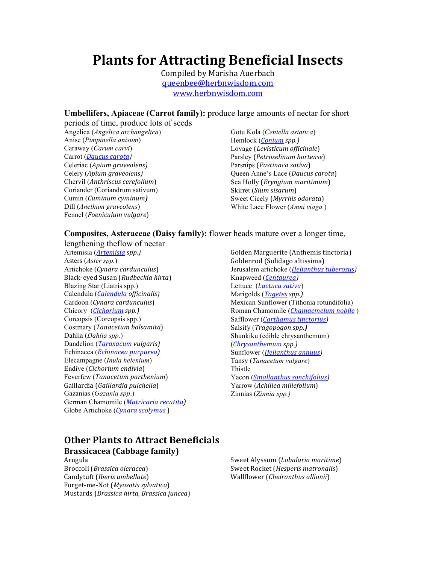# Plants for Attracting Beneficial Insects

Compiled by Marisha Auerbach queenbee@herbnwisdom.com www.herbnwisdom.com

#### **Umbellifers, Apiaceae (Carrot family):** produce large amounts of nectar for short

periods of time, produce lots of seeds Angelica (*Angelica archangelica*) Anise (*Pimpinella anisum*) Caraway (*Carum carvi*) Carrot (*Daucus carota*) Celeriac (*Apium&graveolens)* Celery (*Apium&graveolens)* Chervil (*Anthriscus cerefolium*) Coriander (Coriandrum sativum) Cumin (*Cuminum&cyminum)* Dill (*Anethum graveolens*) Fennel (*Foeniculum vulgare*)

Gotu Kola (*Centella asiatica*) Hemlock (*Conium spp.*) Lovage (*Levisticum officinale*) Parsley (*Petroselinum hortense*) Parsnips (*Pastinaca sativa*) Queen Anne's Lace (*Daucus carota*) Sea Holly *(Eryngium maritimum)* Skirret (*Sium sisarum*) Sweet Cicely (*Myrrhis odorata*) White Lace Flower (*Amni viaga* )

#### **Composites, Asteraceae (Daisy family):** flower heads mature over a longer time,

lengthening theflow of nectar Artemisia (*Artemisia&spp.)* Asters (*Aster spp.*) Artichoke (*Cynara&cardunculus*) Black-eyed Susan (*Rudbeckia hirta*) Blazing Star (Liatris spp.) Calendula (*Calendula&officinalis)* Cardoon (*Cynara cardunculus*) Chicory (*Cichorium spp.*) Coreopsis (Coreopsis spp.) Costmary (*Tanacetum balsamita*) Dahlia (*Dahlia spp.*) Dandelion (*Taraxacum&vulgaris)* Echinacea (*Echinacea purpurea*) Elecampagne (*Inula helenium*) Endive (*Cichorium endivia*) Feverfew (*Tanacetum parthenium*) Gaillardia)(*Gaillardia&pulchella*) Gazanias (*Gazania spp*.) German Chamomile (*Matricaria recutita*) Globe Artichoke (*Cynara scolymus*)

Golden Marguerite (Anthemis tinctoria) Goldenrod (Solidago altissima) Jerusalem artichoke (*Helianthus tuberosus*) Knapweed (*Centaurea)* Lettuce (*Lactuca sativa*) Marigolds (*Tagetes spp.*) Mexican Sunflower (Tithonia rotundifolia) Roman Chamomile (*Chamaemelum nobile*) Safflower (*Carthamus tinctorius*) Salsify (*Tragopogon&spp.)* Shunkiku (edible chrysanthemum) (*Chrysanthemum&spp.)* Sunflower (*Helianthus annuus*) Tansy (*Tanacetum vulgare*) Thistle Yacon (*Smallanthus sonchifolius*) Yarrow (Achillea millefolium) Zinnias (*Zinnia spp.)*

# **Other Plants to Attract Beneficials Brassicacea'(Cabbage'family)**

Arugula Broccoli (*Brassica oleracea*) Candytuft (*Iberis umbellate*) Forget-me-Not (*Myosotis sylvatica*) Mustards)(*Brassica&hirta,&Brassica&juncea*) Sweet Alyssum (*Lobularia maritime*) Sweet Rocket (*Hesperis matronalis*) Wallflower)(*Cheiranthus&allionii*)